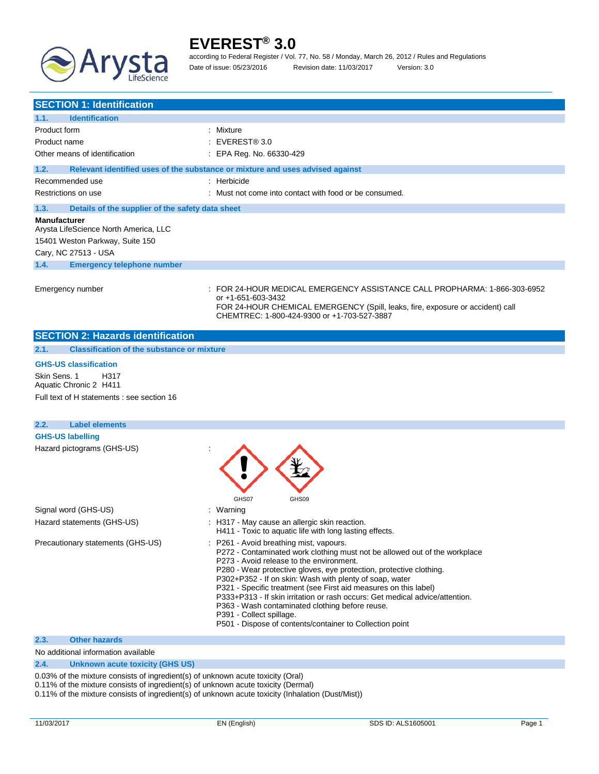

according to Federal Register / Vol. 77, No. 58 / Monday, March 26, 2012 / Rules and Regulations Date of issue: 05/23/2016 Revision date: 11/03/2017 Version: 3.0

| <b>SECTION 1: Identification</b>                             |                                                                                                                                                                                                                                  |
|--------------------------------------------------------------|----------------------------------------------------------------------------------------------------------------------------------------------------------------------------------------------------------------------------------|
| <b>Identification</b><br>1.1.                                |                                                                                                                                                                                                                                  |
| Product form                                                 | : Mixture                                                                                                                                                                                                                        |
| Product name                                                 | $\pm$ EVEREST® 3.0                                                                                                                                                                                                               |
| Other means of identification                                | : EPA Reg. No. 66330-429                                                                                                                                                                                                         |
| 1.2.                                                         | Relevant identified uses of the substance or mixture and uses advised against                                                                                                                                                    |
| Recommended use                                              | $:$ Herbicide                                                                                                                                                                                                                    |
| Restrictions on use                                          | : Must not come into contact with food or be consumed.                                                                                                                                                                           |
| 1.3.<br>Details of the supplier of the safety data sheet     |                                                                                                                                                                                                                                  |
| <b>Manufacturer</b><br>Arysta LifeScience North America, LLC |                                                                                                                                                                                                                                  |
| 15401 Weston Parkway, Suite 150<br>Cary, NC 27513 - USA      |                                                                                                                                                                                                                                  |
| 1.4.<br><b>Emergency telephone number</b>                    |                                                                                                                                                                                                                                  |
| Emergency number                                             | : FOR 24-HOUR MEDICAL EMERGENCY ASSISTANCE CALL PROPHARMA: 1-866-303-6952<br>or +1-651-603-3432<br>FOR 24-HOUR CHEMICAL EMERGENCY (Spill, leaks, fire, exposure or accident) call<br>CHEMTREC: 1-800-424-9300 or +1-703-527-3887 |
| <b>SECTION 2: Hazards identification</b>                     |                                                                                                                                                                                                                                  |
| <b>Classification of the substance or mixture</b><br>2.1.    |                                                                                                                                                                                                                                  |

#### **GHS-US classification**

Skin Sens. 1 H317 Aquatic Chronic 2 H411 Full text of H statements : see section 16

| 2.2.<br><b>Label elements</b>     |                                                                                                                                                                                                                                                                                                                                                                                                                                                                                                                                                                                                    |
|-----------------------------------|----------------------------------------------------------------------------------------------------------------------------------------------------------------------------------------------------------------------------------------------------------------------------------------------------------------------------------------------------------------------------------------------------------------------------------------------------------------------------------------------------------------------------------------------------------------------------------------------------|
| <b>GHS-US labelling</b>           |                                                                                                                                                                                                                                                                                                                                                                                                                                                                                                                                                                                                    |
| Hazard pictograms (GHS-US)        | GHS07<br>GHS09                                                                                                                                                                                                                                                                                                                                                                                                                                                                                                                                                                                     |
| Signal word (GHS-US)              | : Warning                                                                                                                                                                                                                                                                                                                                                                                                                                                                                                                                                                                          |
| Hazard statements (GHS-US)        | : H317 - May cause an allergic skin reaction.<br>H411 - Toxic to aquatic life with long lasting effects.                                                                                                                                                                                                                                                                                                                                                                                                                                                                                           |
| Precautionary statements (GHS-US) | : P261 - Avoid breathing mist, vapours.<br>P272 - Contaminated work clothing must not be allowed out of the workplace<br>P273 - Avoid release to the environment.<br>P280 - Wear protective gloves, eye protection, protective clothing.<br>P302+P352 - If on skin: Wash with plenty of soap, water<br>P321 - Specific treatment (see First aid measures on this label)<br>P333+P313 - If skin irritation or rash occurs: Get medical advice/attention.<br>P363 - Wash contaminated clothing before reuse.<br>P391 - Collect spillage.<br>P501 - Dispose of contents/container to Collection point |
| 2.3.<br><b>Other hazards</b>      |                                                                                                                                                                                                                                                                                                                                                                                                                                                                                                                                                                                                    |

#### No additional information available

### **2.4. Unknown acute toxicity (GHS US)**

0.03% of the mixture consists of ingredient(s) of unknown acute toxicity (Oral)

0.11% of the mixture consists of ingredient(s) of unknown acute toxicity (Dermal)

0.11% of the mixture consists of ingredient(s) of unknown acute toxicity (Inhalation (Dust/Mist))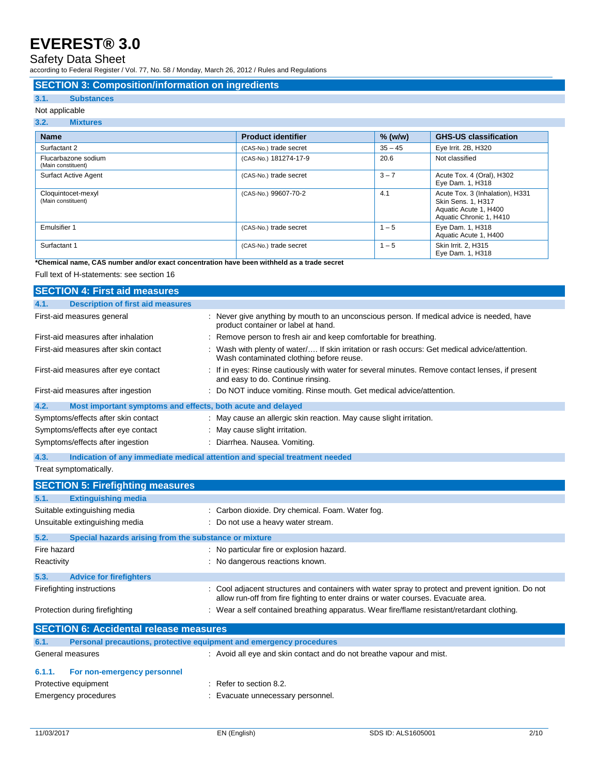### Safety Data Sheet

according to Federal Register / Vol. 77, No. 58 / Monday, March 26, 2012 / Rules and Regulations

#### **SECTION 3: Composition/information on ingredients**

#### **3.1. Substances**

#### Not applicable

| 3.2.<br><b>Mixtures</b>                   |                           |           |                                                                                                           |
|-------------------------------------------|---------------------------|-----------|-----------------------------------------------------------------------------------------------------------|
| <b>Name</b>                               | <b>Product identifier</b> | $%$ (w/w) | <b>GHS-US classification</b>                                                                              |
| Surfactant 2                              | (CAS-No.) trade secret    | $35 - 45$ | Eye Irrit. 2B, H320                                                                                       |
| Flucarbazone sodium<br>(Main constituent) | (CAS-No.) 181274-17-9     | 20.6      | Not classified                                                                                            |
| <b>Surfact Active Agent</b>               | (CAS-No.) trade secret    | $3 - 7$   | Acute Tox. 4 (Oral), H302<br>Eye Dam. 1, H318                                                             |
| Cloquintocet-mexyl<br>(Main constituent)  | (CAS-No.) 99607-70-2      | 4.1       | Acute Tox. 3 (Inhalation), H331<br>Skin Sens. 1, H317<br>Aquatic Acute 1, H400<br>Aquatic Chronic 1, H410 |
| Emulsifier 1                              | (CAS-No.) trade secret    | $1 - 5$   | Eye Dam. 1, H318<br>Aquatic Acute 1, H400                                                                 |
| Surfactant 1                              | (CAS-No.) trade secret    | $1 - 5$   | Skin Irrit. 2, H315<br>Eye Dam. 1, H318                                                                   |

**\*Chemical name, CAS number and/or exact concentration have been withheld as a trade secret**

Full text of H-statements: see section 16

| <b>SECTION 4: First aid measures</b>                                               |                                                                                                                                           |
|------------------------------------------------------------------------------------|-------------------------------------------------------------------------------------------------------------------------------------------|
| <b>Description of first aid measures</b><br>4.1.                                   |                                                                                                                                           |
| First-aid measures general                                                         | : Never give anything by mouth to an unconscious person. If medical advice is needed, have<br>product container or label at hand.         |
| First-aid measures after inhalation                                                | : Remove person to fresh air and keep comfortable for breathing.                                                                          |
| First-aid measures after skin contact                                              | : Wash with plenty of water/ If skin irritation or rash occurs: Get medical advice/attention.<br>Wash contaminated clothing before reuse. |
| First-aid measures after eye contact                                               | : If in eyes: Rinse cautiously with water for several minutes. Remove contact lenses, if present<br>and easy to do. Continue rinsing.     |
| First-aid measures after ingestion                                                 | : Do NOT induce vomiting. Rinse mouth. Get medical advice/attention.                                                                      |
| Most important symptoms and effects, both acute and delayed<br>4.2.                |                                                                                                                                           |
| Symptoms/effects after skin contact                                                | : May cause an allergic skin reaction. May cause slight irritation.                                                                       |
| Symptoms/effects after eye contact                                                 | : May cause slight irritation.                                                                                                            |
| Symptoms/effects after ingestion                                                   | : Diarrhea. Nausea. Vomiting.                                                                                                             |
| 4.3.<br>Indication of any immediate medical attention and special treatment needed |                                                                                                                                           |
| Treat symptomatically.                                                             |                                                                                                                                           |

|             | <b>SECTION 5: Firefighting measures</b>               |                                                                                                                                                                                         |
|-------------|-------------------------------------------------------|-----------------------------------------------------------------------------------------------------------------------------------------------------------------------------------------|
| 5.1.        | <b>Extinguishing media</b>                            |                                                                                                                                                                                         |
|             | Suitable extinguishing media                          | : Carbon dioxide. Dry chemical. Foam. Water fog.                                                                                                                                        |
|             | Unsuitable extinguishing media                        | : Do not use a heavy water stream.                                                                                                                                                      |
| 5.2.        | Special hazards arising from the substance or mixture |                                                                                                                                                                                         |
| Fire hazard |                                                       | : No particular fire or explosion hazard.                                                                                                                                               |
| Reactivity  |                                                       | : No dangerous reactions known.                                                                                                                                                         |
| 5.3.        | <b>Advice for firefighters</b>                        |                                                                                                                                                                                         |
|             | Firefighting instructions                             | : Cool adjacent structures and containers with water spray to protect and prevent ignition. Do not<br>allow run-off from fire fighting to enter drains or water courses. Evacuate area. |
|             | Protection during firefighting                        | : Wear a self contained breathing apparatus. Wear fire/flame resistant/retardant clothing.                                                                                              |

|                  | <b>SECTION 6: Accidental release measures</b>                       |                                                                      |
|------------------|---------------------------------------------------------------------|----------------------------------------------------------------------|
| 6.1.             | Personal precautions, protective equipment and emergency procedures |                                                                      |
| General measures |                                                                     | : Avoid all eye and skin contact and do not breathe vapour and mist. |
| 6.1.1.           | For non-emergency personnel                                         |                                                                      |
|                  | Protective equipment                                                | $\therefore$ Refer to section 8.2.                                   |
|                  | Emergency procedures                                                | Evacuate unnecessary personnel.                                      |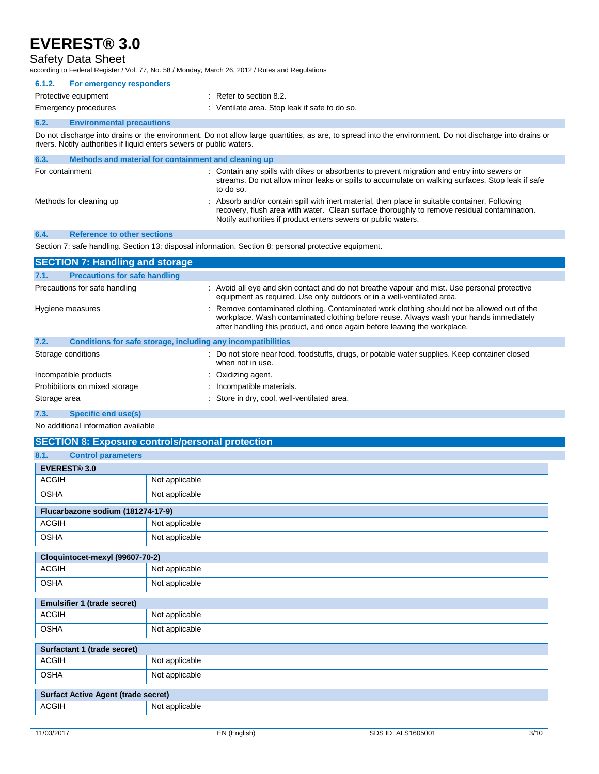### Safety Data Sheet

according to Federal Register / Vol. 77, No. 58 / Monday, March 26, 2012 / Rules and Regulations

|              |                                                                      | according to Federal Register / Vol. 77, No. 58 / Monday, March 26, 2012 / Rules and Regulations                                                                                                                                                                 |
|--------------|----------------------------------------------------------------------|------------------------------------------------------------------------------------------------------------------------------------------------------------------------------------------------------------------------------------------------------------------|
| 6.1.2.       | For emergency responders                                             |                                                                                                                                                                                                                                                                  |
|              | Protective equipment                                                 | $\therefore$ Refer to section 8.2.                                                                                                                                                                                                                               |
|              | Emergency procedures                                                 | : Ventilate area. Stop leak if safe to do so.                                                                                                                                                                                                                    |
| 6.2.         | <b>Environmental precautions</b>                                     |                                                                                                                                                                                                                                                                  |
|              | rivers. Notify authorities if liquid enters sewers or public waters. | Do not discharge into drains or the environment. Do not allow large quantities, as are, to spread into the environment. Do not discharge into drains or                                                                                                          |
| 6.3.         | Methods and material for containment and cleaning up                 |                                                                                                                                                                                                                                                                  |
|              | For containment                                                      | : Contain any spills with dikes or absorbents to prevent migration and entry into sewers or<br>streams. Do not allow minor leaks or spills to accumulate on walking surfaces. Stop leak if safe<br>to do so.                                                     |
|              | Methods for cleaning up                                              | Absorb and/or contain spill with inert material, then place in suitable container. Following<br>recovery, flush area with water. Clean surface thoroughly to remove residual contamination.<br>Notify authorities if product enters sewers or public waters.     |
| 6.4.         | <b>Reference to other sections</b>                                   |                                                                                                                                                                                                                                                                  |
|              |                                                                      | Section 7: safe handling. Section 13: disposal information. Section 8: personal protective equipment.                                                                                                                                                            |
|              | <b>SECTION 7: Handling and storage</b>                               |                                                                                                                                                                                                                                                                  |
| 7.1.         | <b>Precautions for safe handling</b>                                 |                                                                                                                                                                                                                                                                  |
|              | Precautions for safe handling                                        | : Avoid all eye and skin contact and do not breathe vapour and mist. Use personal protective<br>equipment as required. Use only outdoors or in a well-ventilated area.                                                                                           |
|              | Hygiene measures                                                     | Remove contaminated clothing. Contaminated work clothing should not be allowed out of the<br>workplace. Wash contaminated clothing before reuse. Always wash your hands immediately<br>after handling this product, and once again before leaving the workplace. |
| 7.2.         | Conditions for safe storage, including any incompatibilities         |                                                                                                                                                                                                                                                                  |
|              | Storage conditions                                                   | : Do not store near food, foodstuffs, drugs, or potable water supplies. Keep container closed<br>when not in use.                                                                                                                                                |
|              | Incompatible products                                                | Oxidizing agent.                                                                                                                                                                                                                                                 |
|              | Prohibitions on mixed storage                                        | Incompatible materials.                                                                                                                                                                                                                                          |
| Storage area |                                                                      | : Store in dry, cool, well-ventilated area.                                                                                                                                                                                                                      |
| 7.3.         | Specific end use(s)                                                  |                                                                                                                                                                                                                                                                  |

No additional information available

|                                            | <b>SECTION 8: Exposure controls/personal protection</b> |  |  |
|--------------------------------------------|---------------------------------------------------------|--|--|
| 8.1.<br><b>Control parameters</b>          |                                                         |  |  |
| <b>EVEREST® 3.0</b>                        |                                                         |  |  |
| <b>ACGIH</b>                               | Not applicable                                          |  |  |
| <b>OSHA</b>                                | Not applicable                                          |  |  |
| Flucarbazone sodium (181274-17-9)          |                                                         |  |  |
| <b>ACGIH</b>                               | Not applicable                                          |  |  |
| <b>OSHA</b>                                | Not applicable                                          |  |  |
| Cloquintocet-mexyl (99607-70-2)            |                                                         |  |  |
| <b>ACGIH</b>                               | Not applicable                                          |  |  |
| <b>OSHA</b>                                | Not applicable                                          |  |  |
| <b>Emulsifier 1 (trade secret)</b>         |                                                         |  |  |
| <b>ACGIH</b>                               | Not applicable                                          |  |  |
| <b>OSHA</b>                                | Not applicable                                          |  |  |
| Surfactant 1 (trade secret)                |                                                         |  |  |
| <b>ACGIH</b>                               | Not applicable                                          |  |  |
| <b>OSHA</b>                                | Not applicable                                          |  |  |
| <b>Surfact Active Agent (trade secret)</b> |                                                         |  |  |
| <b>ACGIH</b>                               | Not applicable                                          |  |  |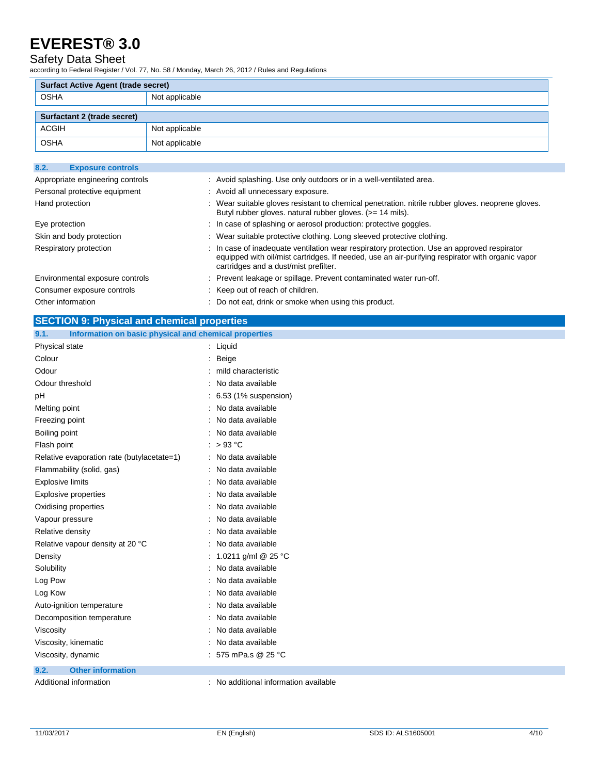### Safety Data Sheet

according to Federal Register / Vol. 77, No. 58 / Monday, March 26, 2012 / Rules and Regulations

| <b>Surfact Active Agent (trade secret)</b> |                |
|--------------------------------------------|----------------|
| <b>OSHA</b>                                | Not applicable |
|                                            |                |
| <b>Surfactant 2 (trade secret)</b>         |                |
| <b>ACGIH</b>                               | Not applicable |
| <b>OSHA</b>                                | Not applicable |

| 8.2.<br><b>Exposure controls</b> |                                                                                                                                                                                                                                          |
|----------------------------------|------------------------------------------------------------------------------------------------------------------------------------------------------------------------------------------------------------------------------------------|
| Appropriate engineering controls | : Avoid splashing. Use only outdoors or in a well-ventilated area.                                                                                                                                                                       |
| Personal protective equipment    | : Avoid all unnecessary exposure.                                                                                                                                                                                                        |
| Hand protection                  | : Wear suitable gloves resistant to chemical penetration, nitrile rubber gloves, neoprene gloves.<br>Butyl rubber gloves, natural rubber gloves. (>= 14 mils).                                                                           |
| Eye protection                   | : In case of splashing or aerosol production: protective goggles.                                                                                                                                                                        |
| Skin and body protection         | : Wear suitable protective clothing. Long sleeved protective clothing.                                                                                                                                                                   |
| Respiratory protection           | : In case of inadequate ventilation wear respiratory protection. Use an approved respirator<br>equipped with oil/mist cartridges. If needed, use an air-purifying respirator with organic vapor<br>cartridges and a dust/mist prefilter. |
| Environmental exposure controls  | : Prevent leakage or spillage. Prevent contaminated water run-off.                                                                                                                                                                       |
| Consumer exposure controls       | : Keep out of reach of children.                                                                                                                                                                                                         |
| Other information                | : Do not eat, drink or smoke when using this product.                                                                                                                                                                                    |

### **SECTION 9: Physical and chemical properties**

| Information on basic physical and chemical properties<br>9.1. |                                     |
|---------------------------------------------------------------|-------------------------------------|
| Physical state                                                | : Liquid                            |
| Colour                                                        | Beige<br>÷                          |
| Odour                                                         | mild characteristic                 |
| Odour threshold                                               | No data available                   |
| рH                                                            | 6.53 (1% suspension)                |
| Melting point                                                 | No data available                   |
| Freezing point                                                | No data available                   |
| Boiling point                                                 | No data available                   |
| Flash point                                                   | : $>93^{\circ}$ C                   |
| Relative evaporation rate (butylacetate=1)                    | No data available                   |
| Flammability (solid, gas)                                     | No data available                   |
| <b>Explosive limits</b>                                       | No data available                   |
| <b>Explosive properties</b>                                   | No data available                   |
| Oxidising properties                                          | No data available                   |
| Vapour pressure                                               | No data available                   |
| Relative density                                              | No data available                   |
| Relative vapour density at 20 °C                              | No data available                   |
| Density                                                       | 1.0211 g/ml @ 25 °C                 |
| Solubility                                                    | No data available                   |
| Log Pow                                                       | No data available                   |
| Log Kow                                                       | No data available                   |
| Auto-ignition temperature                                     | No data available                   |
| Decomposition temperature                                     | No data available                   |
| Viscosity                                                     | No data available                   |
| Viscosity, kinematic                                          | No data available                   |
| Viscosity, dynamic                                            | 575 mPa.s @ 25 °C                   |
| 9.2.<br><b>Other information</b>                              |                                     |
| Additional information                                        | No additional information available |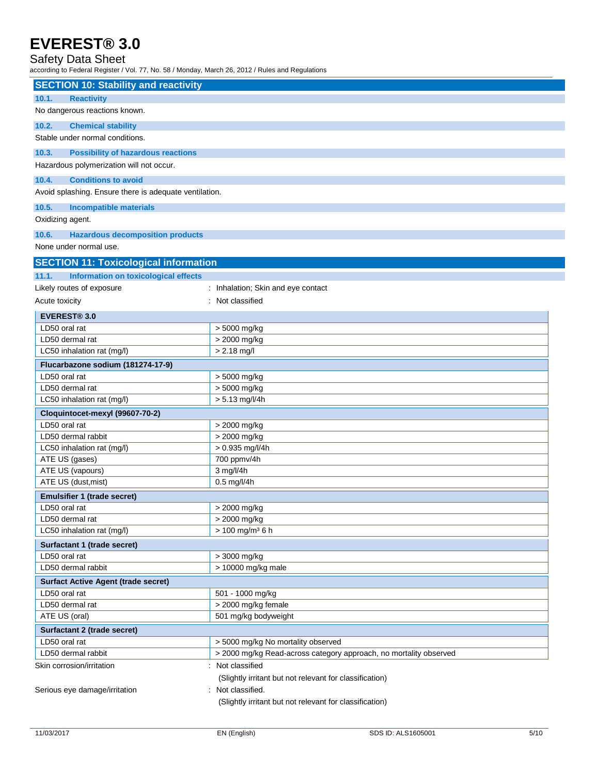### Safety Data Sheet

according to Federal Register / Vol. 77, No. 58 / Monday, March 26, 2012 / Rules and Regulations

| <b>Reactivity</b><br>10.1.<br>No dangerous reactions known.<br>10.2.<br><b>Chemical stability</b><br>Stable under normal conditions.<br>10.3.<br><b>Possibility of hazardous reactions</b> |
|--------------------------------------------------------------------------------------------------------------------------------------------------------------------------------------------|
|                                                                                                                                                                                            |
|                                                                                                                                                                                            |
|                                                                                                                                                                                            |
|                                                                                                                                                                                            |
|                                                                                                                                                                                            |
| Hazardous polymerization will not occur.                                                                                                                                                   |
| 10.4.<br><b>Conditions to avoid</b>                                                                                                                                                        |
| Avoid splashing. Ensure there is adequate ventilation.                                                                                                                                     |
|                                                                                                                                                                                            |
| 10.5.<br><b>Incompatible materials</b>                                                                                                                                                     |
| Oxidizing agent.                                                                                                                                                                           |
| 10.6.<br><b>Hazardous decomposition products</b>                                                                                                                                           |
| None under normal use.                                                                                                                                                                     |
| <b>SECTION 11: Toxicological information</b>                                                                                                                                               |
| 11.1.<br>Information on toxicological effects                                                                                                                                              |
| Likely routes of exposure<br>: Inhalation; Skin and eye contact                                                                                                                            |
| : Not classified<br>Acute toxicity                                                                                                                                                         |
| <b>EVEREST® 3.0</b>                                                                                                                                                                        |
| LD50 oral rat<br>> 5000 mg/kg                                                                                                                                                              |
| LD50 dermal rat<br>> 2000 mg/kg                                                                                                                                                            |
| $> 2.18$ mg/l<br>LC50 inhalation rat (mg/l)                                                                                                                                                |
| Flucarbazone sodium (181274-17-9)                                                                                                                                                          |
| LD50 oral rat<br>> 5000 mg/kg                                                                                                                                                              |
| > 5000 mg/kg<br>LD50 dermal rat                                                                                                                                                            |
| $> 5.13$ mg/l/4h<br>LC50 inhalation rat (mg/l)                                                                                                                                             |
| Cloquintocet-mexyl (99607-70-2)                                                                                                                                                            |
| LD50 oral rat<br>> 2000 mg/kg                                                                                                                                                              |
| > 2000 mg/kg<br>LD50 dermal rabbit                                                                                                                                                         |
| > 0.935 mg/l/4h<br>LC50 inhalation rat (mg/l)                                                                                                                                              |
| ATE US (gases)<br>700 ppmv/4h                                                                                                                                                              |
| 3 mg/l/4h<br>ATE US (vapours)                                                                                                                                                              |
| ATE US (dust, mist)<br>$0.5$ mg/l/4h                                                                                                                                                       |
| <b>Emulsifier 1 (trade secret)</b>                                                                                                                                                         |
| LD50 oral rat<br>> 2000 mg/kg                                                                                                                                                              |
| LD50 dermal rat<br>> 2000 mg/kg                                                                                                                                                            |
| $> 100$ mg/m <sup>3</sup> 6 h<br>LC50 inhalation rat (mg/l)                                                                                                                                |
| Surfactant 1 (trade secret)                                                                                                                                                                |
| LD50 oral rat<br>> 3000 mg/kg                                                                                                                                                              |
| LD50 dermal rabbit<br>> 10000 mg/kg male                                                                                                                                                   |
| <b>Surfact Active Agent (trade secret)</b>                                                                                                                                                 |
| LD50 oral rat<br>501 - 1000 mg/kg                                                                                                                                                          |
| LD50 dermal rat<br>> 2000 mg/kg female                                                                                                                                                     |
| ATE US (oral)<br>501 mg/kg bodyweight                                                                                                                                                      |
| Surfactant 2 (trade secret)                                                                                                                                                                |
| > 5000 mg/kg No mortality observed<br>LD50 oral rat<br>LD50 dermal rabbit                                                                                                                  |
| > 2000 mg/kg Read-across category approach, no mortality observed<br>Not classified                                                                                                        |
| Skin corrosion/irritation<br>(Slightly irritant but not relevant for classification)                                                                                                       |
| Serious eye damage/irritation<br>: Not classified.                                                                                                                                         |
| (Slightly irritant but not relevant for classification)                                                                                                                                    |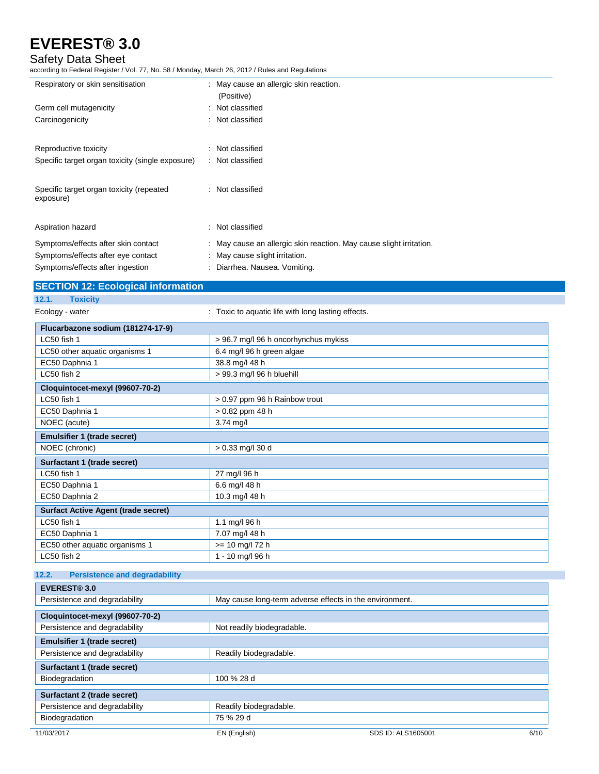### Safety Data Sheet

according to Federal Register / Vol. 77, No. 58 / Monday, March 26, 2012 / Rules and Regulations

| Respiratory or skin sensitisation                                                                                                  | : May cause an allergic skin reaction.<br>(Positive)                                                                                   |
|------------------------------------------------------------------------------------------------------------------------------------|----------------------------------------------------------------------------------------------------------------------------------------|
| Germ cell mutagenicity<br>Carcinogenicity                                                                                          | : Not classified<br>: Not classified                                                                                                   |
| Reproductive toxicity<br>Specific target organ toxicity (single exposure)<br>Specific target organ toxicity (repeated<br>exposure) | : Not classified<br>: Not classified<br>: Not classified                                                                               |
| Aspiration hazard                                                                                                                  | : Not classified                                                                                                                       |
| Symptoms/effects after skin contact<br>Symptoms/effects after eye contact<br>Symptoms/effects after ingestion                      | : May cause an allergic skin reaction. May cause slight irritation.<br>: May cause slight irritation.<br>: Diarrhea. Nausea. Vomiting. |

### **SECTION 12: Ecological information**

- **12.1. Toxicity**
- 

Ecology - water **interpretent in the Cology - water**  $\cdot$  Toxic to aquatic life with long lasting effects.

| Flucarbazone sodium (181274-17-9)             |                                      |  |
|-----------------------------------------------|--------------------------------------|--|
| LC50 fish 1                                   | > 96.7 mg/l 96 h oncorhynchus mykiss |  |
| LC50 other aquatic organisms 1                | 6.4 mg/l 96 h green algae            |  |
| EC50 Daphnia 1                                | 38.8 mg/l 48 h                       |  |
| LC50 fish 2                                   | > 99.3 mg/l 96 h bluehill            |  |
| Cloquintocet-mexyl (99607-70-2)               |                                      |  |
| LC50 fish 1                                   | > 0.97 ppm 96 h Rainbow trout        |  |
| EC50 Daphnia 1                                | > 0.82 ppm 48 h                      |  |
| NOEC (acute)                                  | $3.74$ mg/l                          |  |
| <b>Emulsifier 1 (trade secret)</b>            |                                      |  |
| NOEC (chronic)                                | > 0.33 mg/l 30 d                     |  |
| Surfactant 1 (trade secret)                   |                                      |  |
| LC50 fish 1                                   | 27 mg/l 96 h                         |  |
| EC50 Daphnia 1                                | 6.6 mg/l 48 h                        |  |
| EC50 Daphnia 2                                | 10.3 mg/l 48 h                       |  |
| <b>Surfact Active Agent (trade secret)</b>    |                                      |  |
| LC50 fish 1                                   | 1.1 mg/l 96 h                        |  |
| EC50 Daphnia 1                                | 7.07 mg/l 48 h                       |  |
| EC50 other aquatic organisms 1                | $>= 10$ mg/l 72 h                    |  |
| LC50 fish 2                                   | 1 - 10 mg/l 96 h                     |  |
|                                               |                                      |  |
| 12.2.<br><b>Persistence and degradability</b> |                                      |  |
| FVEREST® 3.0                                  |                                      |  |

| EVEREST® 3.0                       |                                                         |                    |      |
|------------------------------------|---------------------------------------------------------|--------------------|------|
| Persistence and degradability      | May cause long-term adverse effects in the environment. |                    |      |
| Cloquintocet-mexyl (99607-70-2)    |                                                         |                    |      |
| Persistence and degradability      | Not readily biodegradable.                              |                    |      |
| <b>Emulsifier 1 (trade secret)</b> |                                                         |                    |      |
| Persistence and degradability      | Readily biodegradable.                                  |                    |      |
| Surfactant 1 (trade secret)        |                                                         |                    |      |
| Biodegradation                     | 100 % 28 d                                              |                    |      |
| Surfactant 2 (trade secret)        |                                                         |                    |      |
| Persistence and degradability      | Readily biodegradable.                                  |                    |      |
| Biodegradation                     | 75 % 29 d                                               |                    |      |
| 11/03/2017                         | EN (English)                                            | SDS ID: ALS1605001 | 6/10 |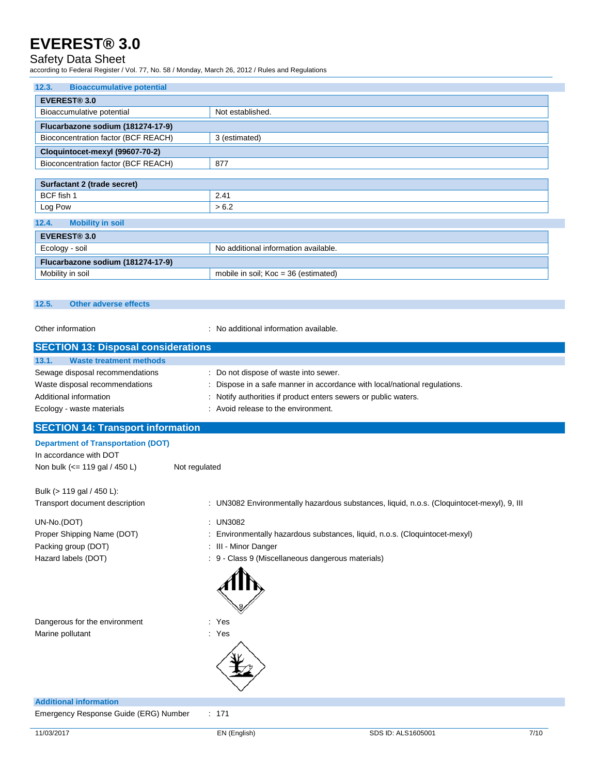### Safety Data Sheet

according to Federal Register / Vol. 77, No. 58 / Monday, March 26, 2012 / Rules and Regulations

| 12.3.<br><b>Bioaccumulative potential</b> |  |  |  |
|-------------------------------------------|--|--|--|
| <b>EVEREST® 3.0</b>                       |  |  |  |
| Not established.                          |  |  |  |
|                                           |  |  |  |
| 3 (estimated)                             |  |  |  |
|                                           |  |  |  |
| 877                                       |  |  |  |
|                                           |  |  |  |
|                                           |  |  |  |
| 2.41                                      |  |  |  |
| > 6.2                                     |  |  |  |
| <b>Mobility in soil</b><br>12.4.          |  |  |  |
| <b>EVEREST® 3.0</b>                       |  |  |  |
| No additional information available.      |  |  |  |
| Flucarbazone sodium (181274-17-9)         |  |  |  |
| mobile in soil; $Koc = 36$ (estimated)    |  |  |  |
|                                           |  |  |  |

#### **12.5. Other adverse effects**

Other information  $\blacksquare$  : No additional information available.

| <b>SECTION 13: Disposal considerations</b>                                                                 |                                                                                                                    |
|------------------------------------------------------------------------------------------------------------|--------------------------------------------------------------------------------------------------------------------|
| <b>Waste treatment methods</b><br>13.1.                                                                    |                                                                                                                    |
| Sewage disposal recommendations<br>Waste disposal recommendations                                          | : Do not dispose of waste into sewer.<br>: Dispose in a safe manner in accordance with local/national regulations. |
| Additional information                                                                                     | : Notify authorities if product enters sewers or public waters.                                                    |
| Ecology - waste materials                                                                                  | : Avoid release to the environment.                                                                                |
| <b>SECTION 14: Transport information</b>                                                                   |                                                                                                                    |
| <b>Department of Transportation (DOT)</b><br>In accordance with DOT<br>Non bulk $\left(<=119$ gal / 450 L) | Not regulated                                                                                                      |
| Bulk (> 119 gal / 450 L):                                                                                  |                                                                                                                    |
| Transport document description                                                                             | : UN3082 Environmentally hazardous substances, liquid, n.o.s. (Cloquintocet-mexyl), 9, III                         |
| UN-No.(DOT)                                                                                                | : UN3082                                                                                                           |
| Proper Shipping Name (DOT)                                                                                 | : Environmentally hazardous substances, liquid, n.o.s. (Cloquintocet-mexyl)                                        |
| Packing group (DOT)                                                                                        | : III - Minor Danger                                                                                               |
| Hazard labels (DOT)                                                                                        | : 9 - Class 9 (Miscellaneous dangerous materials)                                                                  |

|                                       | AIIIF |  |  |
|---------------------------------------|-------|--|--|
| Dangerous for the environment         | : Yes |  |  |
| Marine pollutant                      | : Yes |  |  |
|                                       |       |  |  |
| <b>Additional information</b>         |       |  |  |
| Emergency Response Guide (ERG) Number | : 171 |  |  |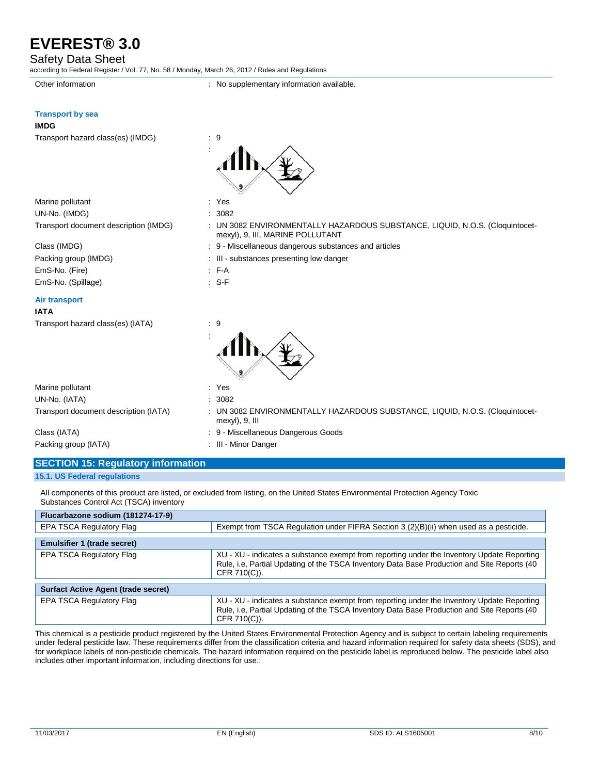### Safety Data Sheet

according to Federal Register / Vol. 77, No. 58 / Monday, March 26, 2012 / Rules and Regulations

Other information **contains the container information** : No supplementary information available.

### **Transport by sea**

| <b>IMDG</b> |                                   |  |  |
|-------------|-----------------------------------|--|--|
|             | Transport hazard class(es) (IMDG) |  |  |

| g   |
|-----|
|     |
| Alb |
|     |
|     |
|     |

| Marine pollutant                      | : Yes |
|---------------------------------------|-------|
| UN-No. (IMDG)                         | : 308 |
| Transport document description (IMDG) | : UN  |

EmS-No. (Fire) : F-A EmS-No. (Spillage) : S-F

#### **Air transport**

| Transport hazard class(es) (IATA) | : 9 |
|-----------------------------------|-----|
|-----------------------------------|-----|

| UN-No. (IMDG)                         | -3082                                                                                                          |
|---------------------------------------|----------------------------------------------------------------------------------------------------------------|
| Transport document description (IMDG) | UN 3082 ENVIRONMENTALLY HAZARDOUS SUBSTANCE, LIQUID, N.O.S. (Cloquintocet-<br>mexyl), 9, III, MARINE POLLUTANT |

- Class (IMDG) **Class** (IMDG) **: 9 Miscellaneous dangerous substances and articles**
- Packing group (IMDG)  $\qquad \qquad$ : III substances presenting low danger
	-
	-



| Marine pollutant                      | Yes                                                                                          |
|---------------------------------------|----------------------------------------------------------------------------------------------|
| UN-No. (IATA)                         | 3082                                                                                         |
| Transport document description (IATA) | UN 3082 ENVIRONMENTALLY HAZARDOUS SUBSTANCE, LIQUID, N.O.S. (Cloquintocet-<br>mexyl), 9, III |
| Class (IATA)                          | : 9 - Miscellaneous Dangerous Goods                                                          |

Packing group (IATA) : III - Minor Danger

**SECTION 15: Regulatory information**

**15.1. US Federal regulations**

All components of this product are listed, or excluded from listing, on the United States Environmental Protection Agency Toxic Substances Control Act (TSCA) inventory

| Flucarbazone sodium (181274-17-9)          |                                                                                                                                                                                                            |  |  |  |
|--------------------------------------------|------------------------------------------------------------------------------------------------------------------------------------------------------------------------------------------------------------|--|--|--|
| EPA TSCA Regulatory Flag                   | Exempt from TSCA Regulation under FIFRA Section 3 (2)(B)(ii) when used as a pesticide.                                                                                                                     |  |  |  |
| <b>Emulsifier 1 (trade secret)</b>         |                                                                                                                                                                                                            |  |  |  |
| EPA TSCA Regulatory Flag                   | XU - XU - indicates a substance exempt from reporting under the Inventory Update Reporting<br>Rule, i.e, Partial Updating of the TSCA Inventory Data Base Production and Site Reports (40)<br>CFR 710(C)). |  |  |  |
| <b>Surfact Active Agent (trade secret)</b> |                                                                                                                                                                                                            |  |  |  |
| <b>EPA TSCA Regulatory Flag</b>            | XU - XU - indicates a substance exempt from reporting under the Inventory Update Reporting<br>Rule, i.e, Partial Updating of the TSCA Inventory Data Base Production and Site Reports (40<br>CFR 710(C)).  |  |  |  |

This chemical is a pesticide product registered by the United States Environmental Protection Agency and is subject to certain labeling requirements under federal pesticide law. These requirements differ from the classification criteria and hazard information required for safety data sheets (SDS), and for workplace labels of non-pesticide chemicals. The hazard information required on the pesticide label is reproduced below. The pesticide label also includes other important information, including directions for use.: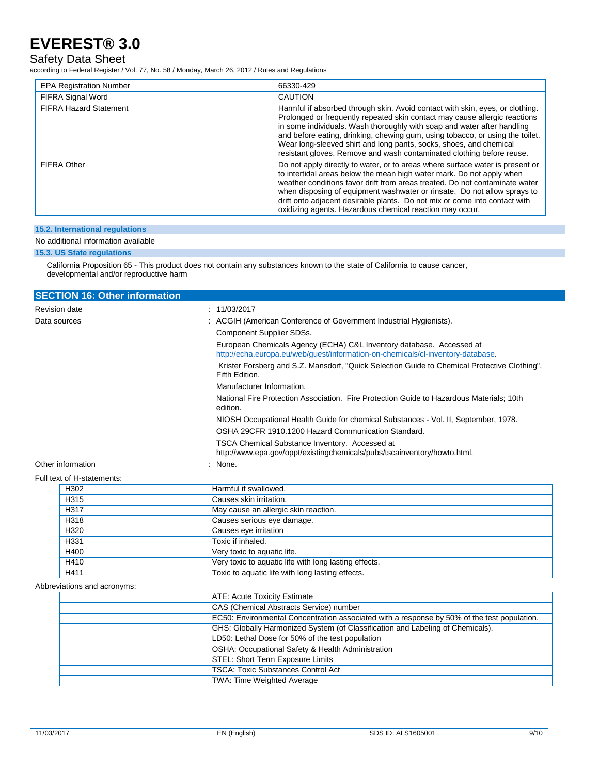### Safety Data Sheet

according to Federal Register / Vol. 77, No. 58 / Monday, March 26, 2012 / Rules and Regulations

| <b>EPA Registration Number</b> | 66330-429                                                                                                                                                                                                                                                                                                                                                                                                                                                              |
|--------------------------------|------------------------------------------------------------------------------------------------------------------------------------------------------------------------------------------------------------------------------------------------------------------------------------------------------------------------------------------------------------------------------------------------------------------------------------------------------------------------|
| FIFRA Signal Word              | <b>CAUTION</b>                                                                                                                                                                                                                                                                                                                                                                                                                                                         |
| <b>FIFRA Hazard Statement</b>  | Harmful if absorbed through skin. Avoid contact with skin, eyes, or clothing.<br>Prolonged or frequently repeated skin contact may cause allergic reactions<br>in some individuals. Wash thoroughly with soap and water after handling<br>and before eating, drinking, chewing gum, using tobacco, or using the toilet.<br>Wear long-sleeved shirt and long pants, socks, shoes, and chemical<br>resistant gloves. Remove and wash contaminated clothing before reuse. |
| <b>FIFRA Other</b>             | Do not apply directly to water, or to areas where surface water is present or<br>to intertidal areas below the mean high water mark. Do not apply when<br>weather conditions favor drift from areas treated. Do not contaminate water<br>when disposing of equipment washwater or rinsate. Do not allow sprays to<br>drift onto adjacent desirable plants. Do not mix or come into contact with<br>oxidizing agents. Hazardous chemical reaction may occur.            |

### **15.2. International regulations**

### No additional information available

#### **15.3. US State regulations**

California Proposition 65 - This product does not contain any substances known to the state of California to cause cancer, developmental and/or reproductive harm

| <b>SECTION 16: Other information</b> |                                                                                                                                                         |
|--------------------------------------|---------------------------------------------------------------------------------------------------------------------------------------------------------|
| <b>Revision date</b>                 | : 11/03/2017                                                                                                                                            |
| Data sources                         | : ACGIH (American Conference of Government Industrial Hygienists).                                                                                      |
|                                      | Component Supplier SDSs.                                                                                                                                |
|                                      | European Chemicals Agency (ECHA) C&L Inventory database. Accessed at<br>http://echa.europa.eu/web/guest/information-on-chemicals/cl-inventory-database. |
|                                      | Krister Forsberg and S.Z. Mansdorf, "Quick Selection Guide to Chemical Protective Clothing",<br>Fifth Edition.                                          |
|                                      | Manufacturer Information.                                                                                                                               |
|                                      | National Fire Protection Association. Fire Protection Guide to Hazardous Materials: 10th<br>edition.                                                    |
|                                      | NIOSH Occupational Health Guide for chemical Substances - Vol. II, September, 1978.                                                                     |
|                                      | OSHA 29CFR 1910.1200 Hazard Communication Standard.                                                                                                     |
|                                      | TSCA Chemical Substance Inventory. Accessed at<br>http://www.epa.gov/oppt/existingchemicals/pubs/tscainventory/howto.html.                              |
| Other information                    | : None.                                                                                                                                                 |
| $EU$ ll toyt of $H$ etatomonte:      |                                                                                                                                                         |

### Full text of H-statements:

| H302 | Harmful if swallowed.                                 |
|------|-------------------------------------------------------|
| H315 | Causes skin irritation.                               |
| H317 | May cause an allergic skin reaction.                  |
| H318 | Causes serious eye damage.                            |
| H320 | Causes eye irritation                                 |
| H331 | Toxic if inhaled.                                     |
| H400 | Very toxic to aquatic life.                           |
| H410 | Very toxic to aquatic life with long lasting effects. |
| H411 | Toxic to aquatic life with long lasting effects.      |
|      |                                                       |

#### Abbreviations and acronyms:

| ATE: Acute Toxicity Estimate                                                                |
|---------------------------------------------------------------------------------------------|
| CAS (Chemical Abstracts Service) number                                                     |
| EC50: Environmental Concentration associated with a response by 50% of the test population. |
| GHS: Globally Harmonized System (of Classification and Labeling of Chemicals).              |
| LD50: Lethal Dose for 50% of the test population                                            |
| OSHA: Occupational Safety & Health Administration                                           |
| STEL: Short Term Exposure Limits                                                            |
| <b>TSCA: Toxic Substances Control Act</b>                                                   |
| <b>TWA: Time Weighted Average</b>                                                           |